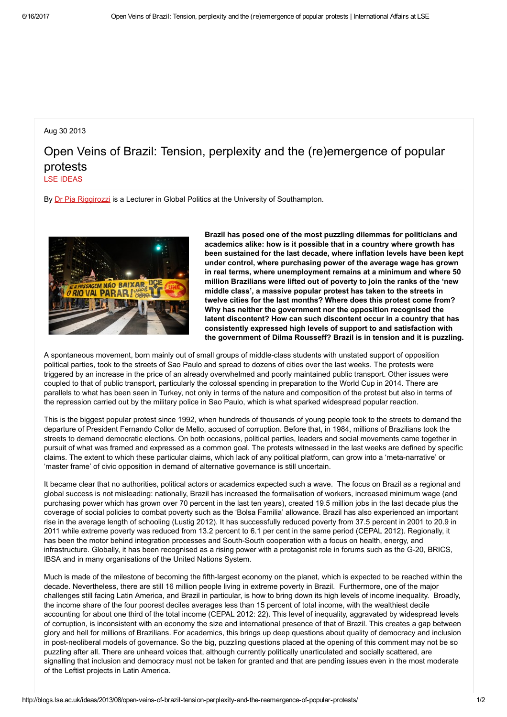## Aug 30 2013

## Open Veins of Brazil: Tension, perplexity and the (re)emergence of popular protests

LSE [IDEAS](http://blogs.lse.ac.uk/ideas/author/KOUSTOUM/)

By Dr Pia [Riggirozzi](http://www.southampton.ac.uk/politics/about/staff/pr6g09.page#background) is a Lecturer in Global Politics at the University of Southampton.



Brazil has posed one of the most puzzling dilemmas for politicians and academics alike: how is it possible that in a country where growth has been sustained for the last decade, where inflation levels have been kept under control, where purchasing power of the average wage has grown in real terms, where unemployment remains at a minimum and where 50 million Brazilians were lifted out of poverty to join the ranks of the 'new middle class', a massive popular protest has taken to the streets in twelve cities for the last months? Where does this protest come from? Why has neither the government nor the opposition recognised the latent discontent? How can such discontent occur in a country that has consistently expressed high levels of support to and satisfaction with the government of Dilma Rousseff? Brazil is in tension and it is puzzling.

A spontaneous movement, born mainly out of small groups of middle-class students with unstated support of opposition political parties, took to the streets of Sao Paulo and spread to dozens of cities over the last weeks. The protests were triggered by an increase in the price of an already overwhelmed and poorly maintained public transport. Other issues were coupled to that of public transport, particularly the colossal spending in preparation to the World Cup in 2014. There are parallels to what has been seen in Turkey, not only in terms of the nature and composition of the protest but also in terms of the repression carried out by the military police in Sao Paulo, which is what sparked widespread popular reaction.

This is the biggest popular protest since 1992, when hundreds of thousands of young people took to the streets to demand the departure of President Fernando Collor de Mello, accused of corruption. Before that, in 1984, millions of Brazilians took the streets to demand democratic elections. On both occasions, political parties, leaders and social movements came together in pursuit of what was framed and expressed as a common goal. The protests witnessed in the last weeks are defined by specific claims. The extent to which these particular claims, which lack of any political platform, can grow into a 'meta-narrative' or 'master frame' of civic opposition in demand of alternative governance is still uncertain.

It became clear that no authorities, political actors or academics expected such a wave. The focus on Brazil as a regional and global success is not misleading: nationally, Brazil has increased the formalisation of workers, increased minimum wage (and purchasing power which has grown over 70 percent in the last ten years), created 19.5 million jobs in the last decade plus the coverage of social policies to combat poverty such as the 'Bolsa Familia' allowance. Brazil has also experienced an important rise in the average length of schooling (Lustig 2012). It has successfully reduced poverty from 37.5 percent in 2001 to 20.9 in 2011 while extreme poverty was reduced from 13.2 percent to 6.1 per cent in the same period (CEPAL 2012). Regionally, it has been the motor behind integration processes and South-South cooperation with a focus on health, energy, and infrastructure. Globally, it has been recognised as a rising power with a protagonist role in forums such as the G-20, BRICS, IBSA and in many organisations of the United Nations System.

Much is made of the milestone of becoming the fifth-largest economy on the planet, which is expected to be reached within the decade. Nevertheless, there are still 16 million people living in extreme poverty in Brazil. Furthermore, one of the major challenges still facing Latin America, and Brazil in particular, is how to bring down its high levels of income inequality. Broadly, the income share of the four poorest deciles averages less than 15 percent of total income, with the wealthiest decile accounting for about one third of the total income (CEPAL 2012: 22). This level of inequality, aggravated by widespread levels of corruption, is inconsistent with an economy the size and international presence of that of Brazil. This creates a gap between glory and hell for millions of Brazilians. For academics, this brings up deep questions about quality of democracy and inclusion in post-neoliberal models of governance. So the big, puzzling questions placed at the opening of this comment may not be so puzzling after all. There are unheard voices that, although currently politically unarticulated and socially scattered, are signalling that inclusion and democracy must not be taken for granted and that are pending issues even in the most moderate of the Leftist projects in Latin America.